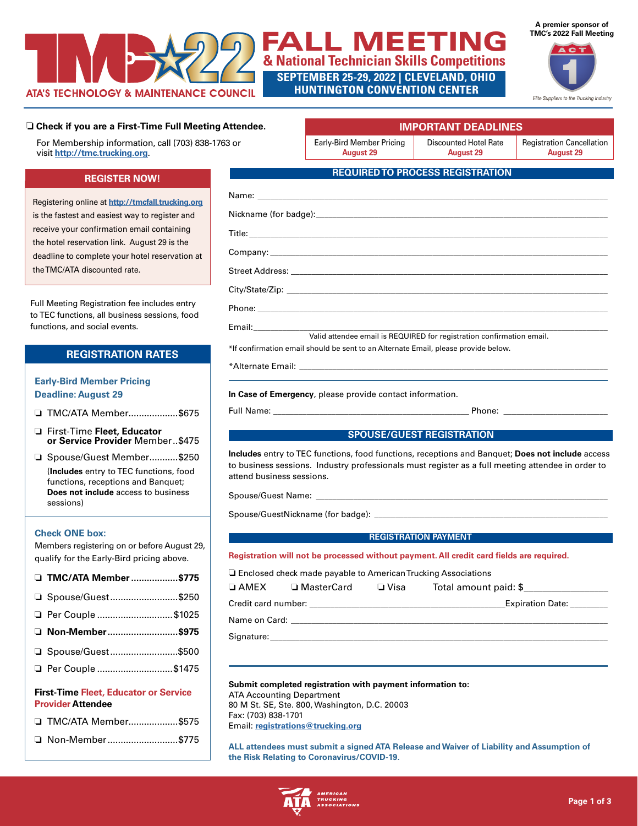

# **TMC's 2022 Fall Meeting** FALL MEETING **& National Technician Skills Competitions SEPTEMBER 25-29, 2022 | CLEVELAND, OHIO**

**HUNTINGTON CONVENTION CENTER**



Elite Suppliers to the Trucking Industry

## ❏ **Check if you are a First-Time Full Meeting Attendee.**

For Membership information, call (703) 838-1763 or visit **<http://tmc.trucking.org>**.

## **REGISTER NOW!**

Registering online at **<http://tmcfall.trucking.org>** is the fastest and easiest way to register and receive your confirmation email containing the hotel reservation link. August 29 is the deadline to complete your hotel reservation at the TMC/ATA discounted rate.

Full Meeting Registration fee includes entry to TEC functions, all business sessions, food functions, and social events.

## **REGISTRATION RATES**

## **Early-Bird Member Pricing Deadline: August 29**

□ TMC/ATA Member...................\$675

- o First-Time **Fleet, Educator or Service Provider** Member..\$475
- □ Spouse/Guest Member...........\$250 (**Includes** entry to TEC functions, food functions, receptions and Banquet; **Does not include** access to business sessions)

## **Check ONE box:**

Members registering on or before August 29, qualify for the Early-Bird pricing above.

|                                                                          | □ TMC/ATA Member \$775 |  |  |  |
|--------------------------------------------------------------------------|------------------------|--|--|--|
|                                                                          | □ Spouse/Guest\$250    |  |  |  |
|                                                                          | □ Per Couple \$1025    |  |  |  |
|                                                                          | □ Non-Member\$975      |  |  |  |
|                                                                          | □ Spouse/Guest\$500    |  |  |  |
|                                                                          | □ Per Couple \$1475    |  |  |  |
| <b>First-Time Fleet, Educator or Service</b><br><b>Provider Attendee</b> |                        |  |  |  |

| □ TMC/ATA Member\$575 |  |
|-----------------------|--|
| □ Non-Member\$775     |  |

Early-Bird Member Pricing **August 29**

Discounted Hotel Rate **August 29**

 **IMPORTANT DEADLINES**

Registration Cancellation **August 29**

## **REQUIRED TO PROCESS REGISTRATION**

| Valid attendee email is REQUIRED for registration confirmation email.              |  |  |  |  |
|------------------------------------------------------------------------------------|--|--|--|--|
| *If confirmation email should be sent to an Alternate Email, please provide below. |  |  |  |  |
|                                                                                    |  |  |  |  |
|                                                                                    |  |  |  |  |

**In Case of Emergency**, please provide contact information.

Full Name: \_\_\_\_\_\_\_\_\_\_\_\_\_\_\_\_\_\_\_\_\_\_\_\_\_\_\_\_\_\_\_\_\_\_\_\_\_\_\_\_\_\_\_\_\_\_\_ Phone: \_\_\_\_\_\_\_\_\_\_\_\_\_\_\_\_\_\_\_\_\_\_\_\_\_

## **SPOUSE/GUEST REGISTRATION**

**Includes** entry to TEC functions, food functions, receptions and Banquet; **Does not include** access to business sessions. Industry professionals must register as a full meeting attendee in order to attend business sessions.

Spouse/Guest Name: \_

Spouse/GuestNickname (for badge): \_

#### **REGISTRATION PAYMENT**

## **Registration will not be processed without payment. All credit card fields are required.**

 $\Box$  Enclosed check made payable to American Trucking Associations

| $\Box$ AMEX         | □ MasterCard | □ Visa | Total amount paid: \$   |
|---------------------|--------------|--------|-------------------------|
| Credit card number: |              |        | <b>Expiration Date:</b> |
| Name on Card:       |              |        |                         |

Signature:

#### **Submit completed registration with payment information to:**

ATA Accounting Department 80 M St. SE, Ste. 800, Washington, D.C. 20003 Fax: (703) 838-1701 Email: **[registrations@trucking.org](mailto:registrations%40trucking.org?subject=)**

**ALL attendees must submit a signed ATA Release and Waiver of Liability and Assumption of the Risk Relating to Coronavirus/COVID-19.**

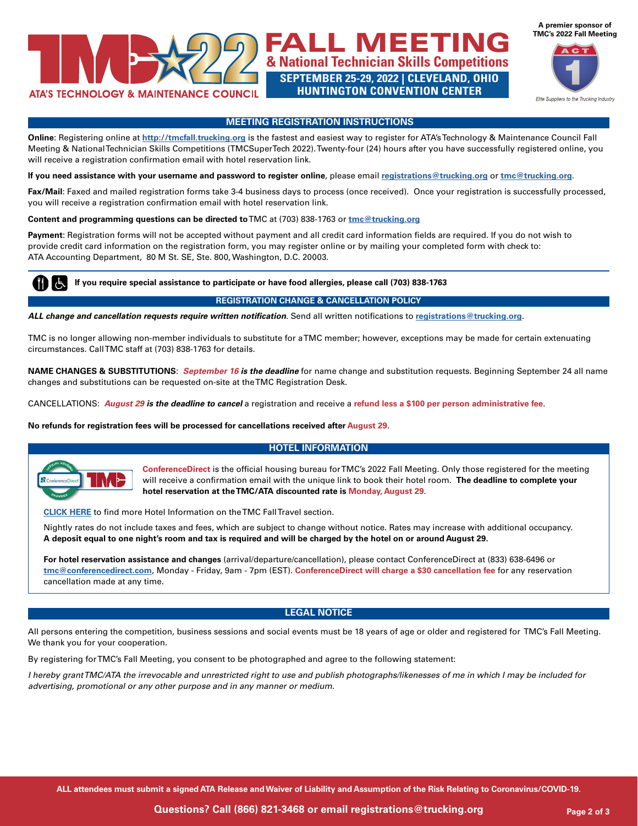

**A premier sponsor of**

**& National Technician Skills Competitions SEPTEMBER 25-29, 2022 | CLEVELAND, OHIO HUNTINGTON CONVENTION CENTER**



## **MEETING REGISTRATION INSTRUCTIONS**

**Online**: Registering online at **<http://tmcfall.trucking.org>** is the fastest and easiest way to register for ATA's Technology & Maintenance Council Fall Meeting & National Technician Skills Competitions (TMCSuperTech 2022). Twenty-four (24) hours after you have successfully registered online, you will receive a registration confirmation email with hotel reservation link.

**If you need assistance with your username and password to register online**, please email **[registrations@trucking.org](mailto:registrations%40trucking.org?subject=)** or **[tmc@trucking.org](mailto:tmc%40trucking.org?subject=).**

Fax/Mail: Faxed and mailed registration forms take 3-4 business days to process (once received). Once your registration is successfully processed, you will receive a registration confirmation email with hotel reservation link.

**Content and programming questions can be directed to** TMC at (703) 838-1763 or **[tmc@trucking.org](mailto:%20tmc%40trucking.org?subject=)**

**Payment**: Registration forms will not be accepted without payment and all credit card information fields are required. If you do not wish to provide credit card information on the registration form, you may register online or by mailing your completed form with check to: ATA Accounting Department, 80 M St. SE, Ste. 800, Washington, D.C. 20003.

 **If you require special assistance to participate or have food allergies, please call (703) 838-1763**

## **REGISTRATION CHANGE & CANCELLATION POLICY**

*ALL change and cancellation requests require written notification*. Send all written notifications to **[registrations@trucking.org](mailto:registrations%40trucking.org?subject=)**.

TMC is no longer allowing non-member individuals to substitute for a TMC member; however, exceptions may be made for certain extenuating circumstances. Call TMC staff at (703) 838-1763 for details.

**NAME CHANGES & SUBSTITUTIONS**: *September 16 is the deadline* for name change and substitution requests. Beginning September 24 all name changes and substitutions can be requested on-site at the TMC Registration Desk.

CANCELLATIONS: *August 29 is the deadline to cancel* a registration and receive a **refund less a \$100 per person administrative fee**.

**No refunds for registration fees will be processed for cancellations received after August 29**.

### **HOTEL INFORMATION**



**ConferenceDirect** is the official housing bureau for TMC's 2022 Fall Meeting. Only those registered for the meeting will receive a confirmation email with the unique link to book their hotel room. **The deadline to complete your hotel reservation at the TMC/ATA discounted rate is Monday, August 29**.

**[CLICK HERE](https://tmcfall.trucking.org/content/travel)** to find more Hotel Information on the TMC Fall Travel section.

Nightly rates do not include taxes and fees, which are subject to change without notice. Rates may increase with additional occupancy. **A deposit equal to one night's room and tax is required and will be charged by the hotel on or around August 29.**

**For hotel reservation assistance and changes** (arrival/departure/cancellation), please contact ConferenceDirect at (833) 638-6496 or **[tmc@conferencedirect.com](mailto:tmc%40conferencedirect.com?subject=)**, Monday - Friday, 9am - 7pm (EST). **ConferenceDirect will charge a \$30 cancellation fee** for any reservation cancellation made at any time.

### **LEGAL NOTICE**

All persons entering the competition, business sessions and social events must be 18 years of age or older and registered for TMC's Fall Meeting. We thank you for your cooperation.

By registering for TMC's Fall Meeting, you consent to be photographed and agree to the following statement:

*I hereby grant TMC/ATA the irrevocable and unrestricted right to use and publish photographs/likenesses of me in which I may be included for advertising, promotional or any other purpose and in any manner or medium.*

**ALL attendees must submit a signed ATA Release and Waiver of Liability and Assumption of the Risk Relating to Coronavirus/COVID-19.**